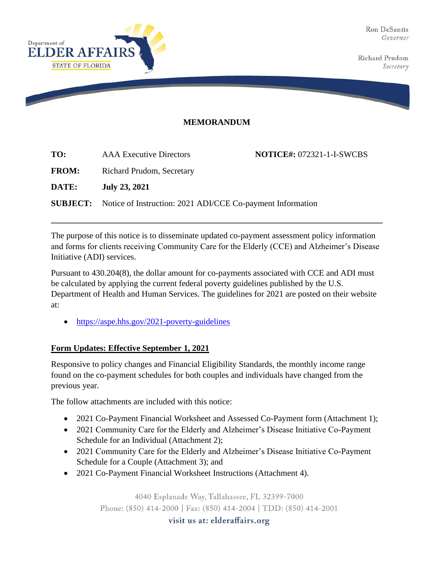Ron DeSantis Governor

Richard Prudom Secretary



## **MEMORANDUM**

| TO:          | <b>AAA</b> Executive Directors                                             | <b>NOTICE#: 072321-1-I-SWCBS</b> |
|--------------|----------------------------------------------------------------------------|----------------------------------|
| <b>FROM:</b> | Richard Prudom, Secretary                                                  |                                  |
| DATE:        | <b>July 23, 2021</b>                                                       |                                  |
|              | <b>SUBJECT:</b> Notice of Instruction: 2021 ADI/CCE Co-payment Information |                                  |

The purpose of this notice is to disseminate updated co-payment assessment policy information and forms for clients receiving Community Care for the Elderly (CCE) and Alzheimer's Disease Initiative (ADI) services.

**\_\_\_\_\_\_\_\_\_\_\_\_\_\_\_\_\_\_\_\_\_\_\_\_\_\_\_\_\_\_\_\_\_\_\_\_\_\_\_\_\_\_\_\_\_\_\_\_\_\_\_\_\_\_\_\_\_\_\_\_\_\_\_\_\_\_\_\_\_\_\_\_\_\_\_\_\_\_**

Pursuant to 430.204(8), the dollar amount for co-payments associated with CCE and ADI must be calculated by applying the current federal poverty guidelines published by the U.S. Department of Health and Human Services. The guidelines for 2021 are posted on their website at:

• https://aspe.hhs.gov/2021-poverty-guidelines

## **Form Updates: Effective September 1, 2021**

Responsive to policy changes and Financial Eligibility Standards, the monthly income range found on the co-payment schedules for both couples and individuals have changed from the previous year.

The follow attachments are included with this notice:

- 2021 Co-Payment Financial Worksheet and Assessed Co-Payment form (Attachment 1);
- 2021 Community Care for the Elderly and Alzheimer's Disease Initiative Co-Payment Schedule for an Individual (Attachment 2);
- 2021 Community Care for the Elderly and Alzheimer's Disease Initiative Co-Payment Schedule for a Couple (Attachment 3); and
- 2021 Co-Payment Financial Worksheet Instructions (Attachment 4).

4040 Esplanade Way, Tallahassee, FL 32399-7000

Phone: (850) 414-2000 | Fax: (850) 414-2004 | TDD: (850) 414-2001

visit us at: elderaffairs.org